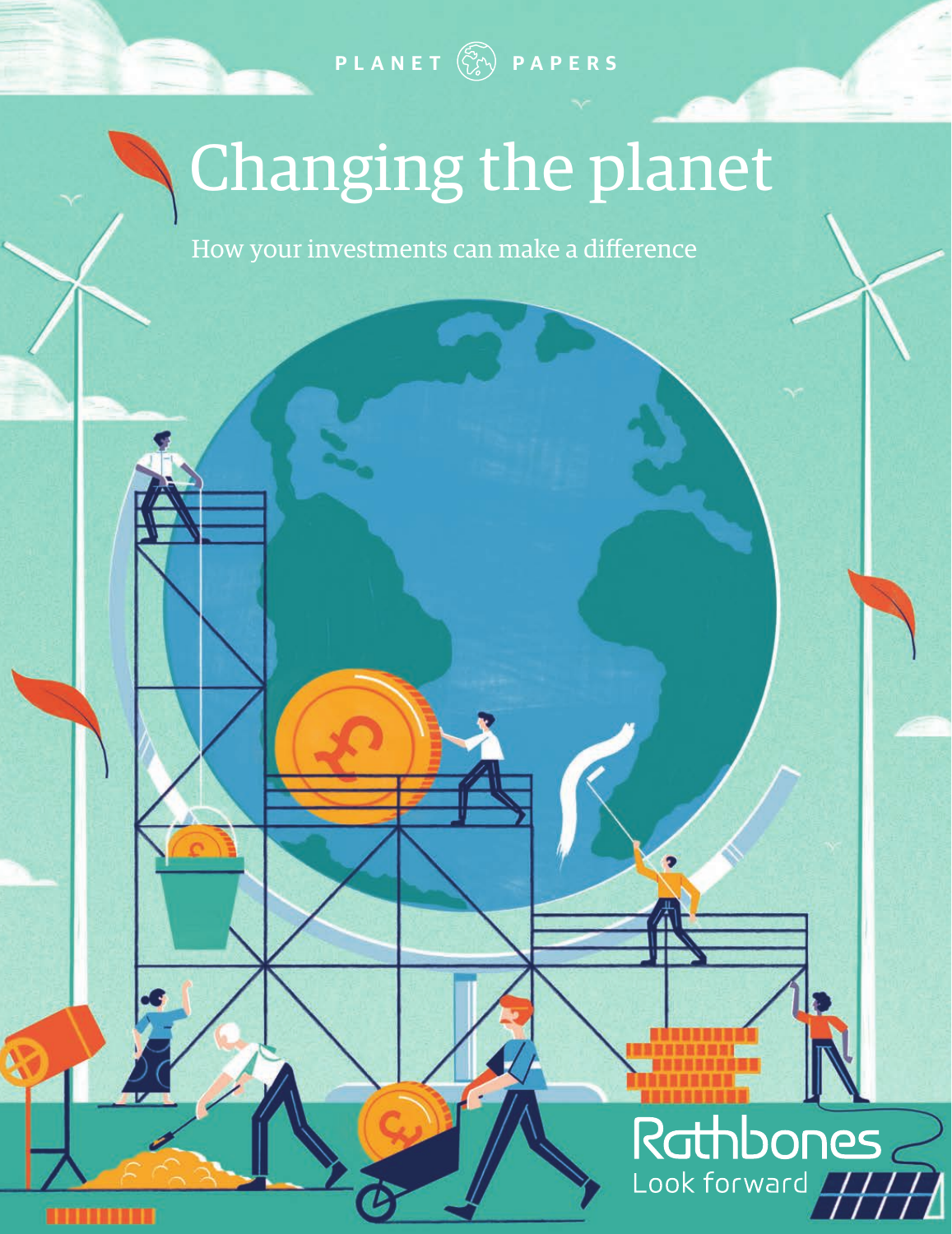**PLANET PAPERS**

## Changing the planet

How your investments can make a difference

# Rathbones

Þ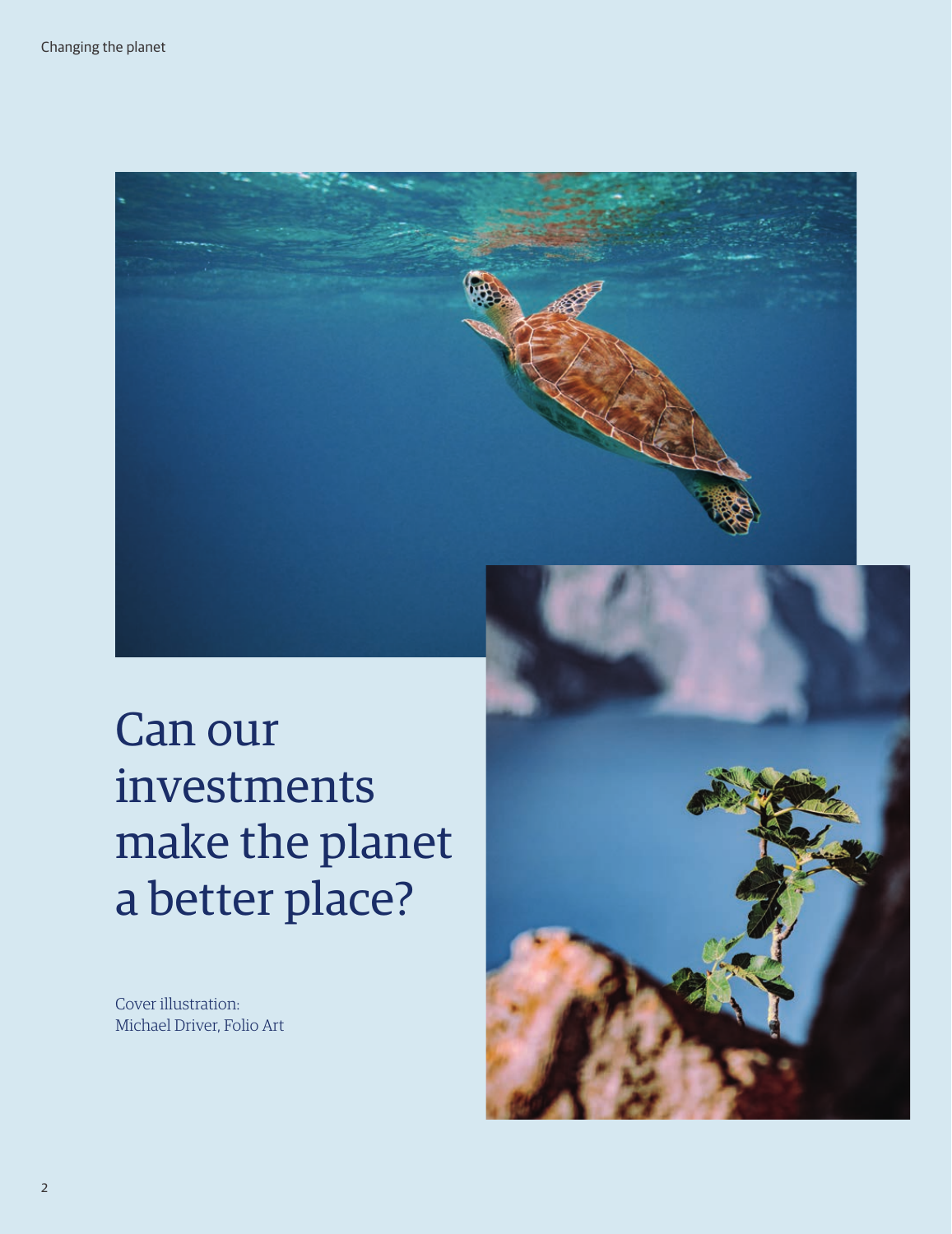

Can our investments make the planet a better place?

Cover illustration: Michael Driver, Folio Art

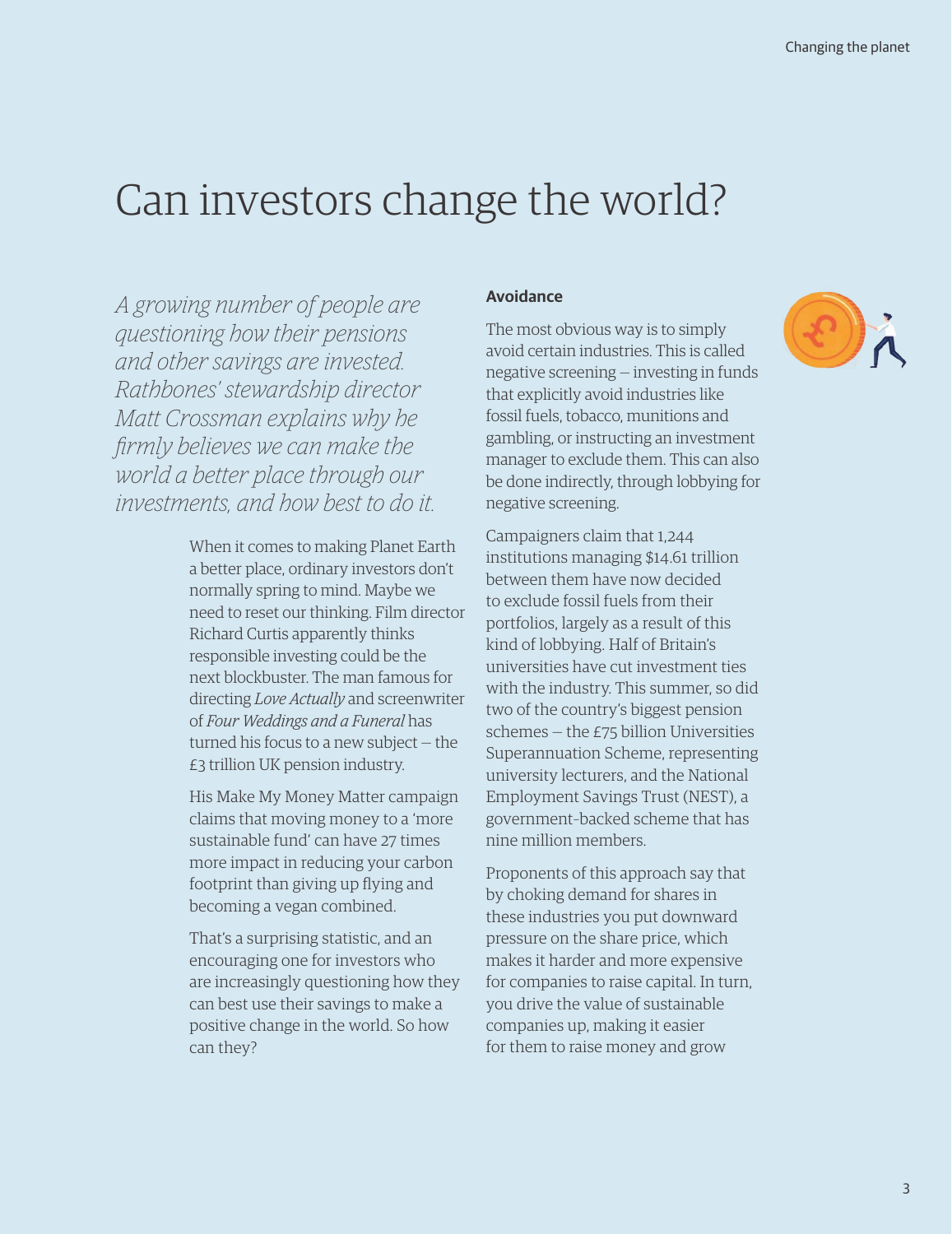### Can investors change the world?

*A growing number of people are questioning how their pensions and other savings are invested. Rathbones' stewardship director Matt Crossman explains why he firmly believes we can make the world a better place through our investments, and how best to do it.*

> When it comes to making Planet Earth a better place, ordinary investors don't normally spring to mind. Maybe we need to reset our thinking. Film director Richard Curtis apparently thinks responsible investing could be the next blockbuster. The man famous for directing *Love Actually* and screenwriter of *Four Weddings and a Funeral* has turned his focus to a new subject — the £3 trillion UK pension industry.

His Make My Money Matter campaign claims that moving money to a 'more sustainable fund' can have 27 times more impact in reducing your carbon footprint than giving up flying and becoming a vegan combined.

That's a surprising statistic, and an encouraging one for investors who are increasingly questioning how they can best use their savings to make a positive change in the world. So how can they?

#### **Avoidance**

The most obvious way is to simply avoid certain industries. This is called negative screening — investing in funds that explicitly avoid industries like fossil fuels, tobacco, munitions and gambling, or instructing an investment manager to exclude them. This can also be done indirectly, through lobbying for negative screening.

Campaigners claim that 1,244 institutions managing \$14.61 trillion between them have now decided to exclude fossil fuels from their portfolios, largely as a result of this kind of lobbying. Half of Britain's universities have cut investment ties with the industry. This summer, so did two of the country's biggest pension schemes — the £75 billion Universities Superannuation Scheme, representing university lecturers, and the National Employment Savings Trust (NEST), a government–backed scheme that has nine million members.

Proponents of this approach say that by choking demand for shares in these industries you put downward pressure on the share price, which makes it harder and more expensive for companies to raise capital. In turn, you drive the value of sustainable companies up, making it easier for them to raise money and grow

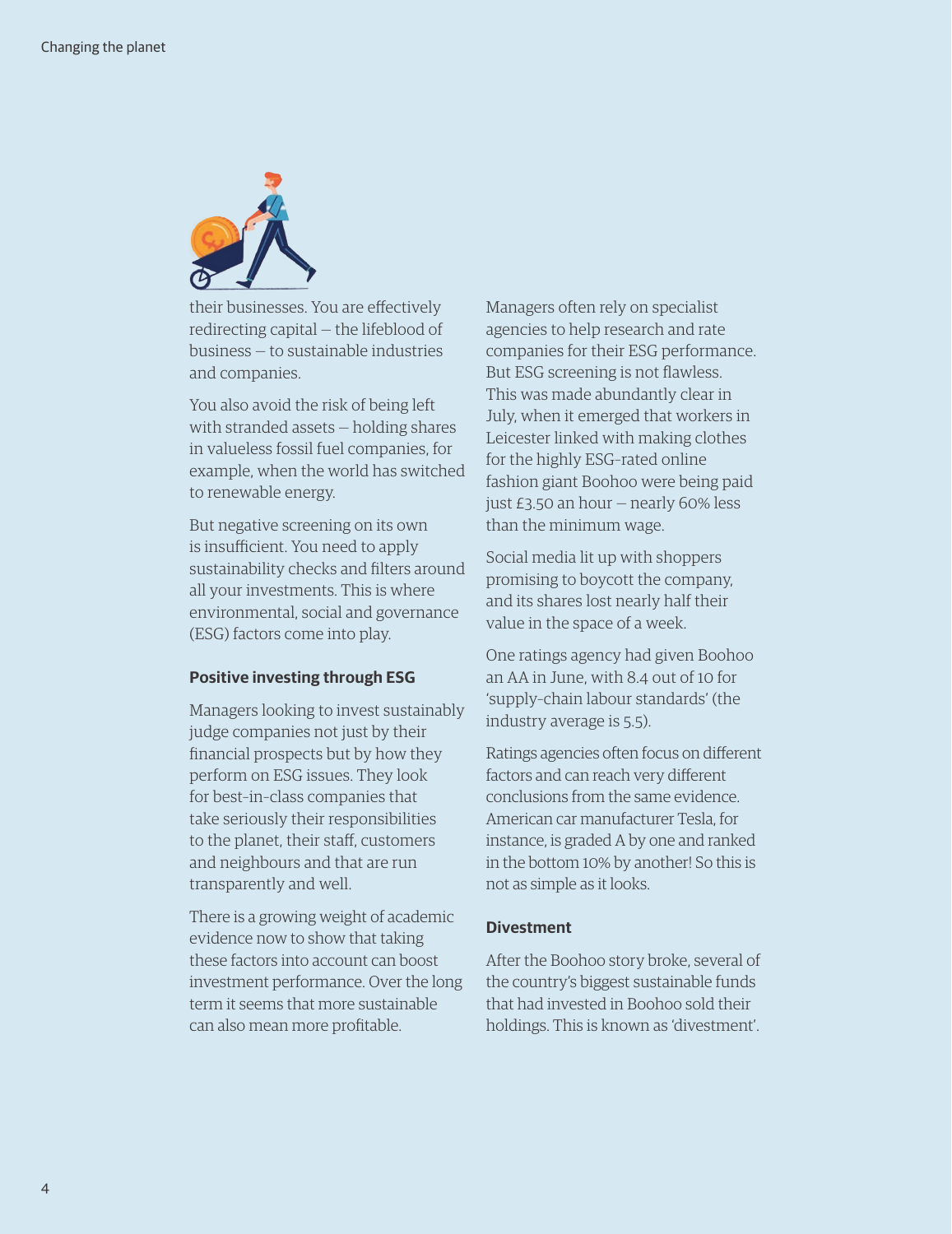

their businesses. You are effectively redirecting capital — the lifeblood of business — to sustainable industries and companies.

You also avoid the risk of being left with stranded assets — holding shares in valueless fossil fuel companies, for example, when the world has switched to renewable energy.

But negative screening on its own is insufficient. You need to apply sustainability checks and filters around all your investments. This is where environmental, social and governance (ESG) factors come into play.

#### **Positive investing through ESG**

Managers looking to invest sustainably judge companies not just by their financial prospects but by how they perform on ESG issues. They look for best–in–class companies that take seriously their responsibilities to the planet, their staff, customers and neighbours and that are run transparently and well.

There is a growing weight of academic evidence now to show that taking these factors into account can boost investment performance. Over the long term it seems that more sustainable can also mean more profitable.

Managers often rely on specialist agencies to help research and rate companies for their ESG performance. But ESG screening is not flawless. This was made abundantly clear in July, when it emerged that workers in Leicester linked with making clothes for the highly ESG–rated online fashion giant Boohoo were being paid just £3.50 an hour — nearly 60% less than the minimum wage.

Social media lit up with shoppers promising to boycott the company, and its shares lost nearly half their value in the space of a week.

One ratings agency had given Boohoo an AA in June, with 8.4 out of 10 for 'supply–chain labour standards' (the industry average is 5.5).

Ratings agencies often focus on different factors and can reach very different conclusions from the same evidence. American car manufacturer Tesla, for instance, is graded A by one and ranked in the bottom 10% by another! So this is not as simple as it looks.

#### **Divestment**

After the Boohoo story broke, several of the country's biggest sustainable funds that had invested in Boohoo sold their holdings. This is known as 'divestment'.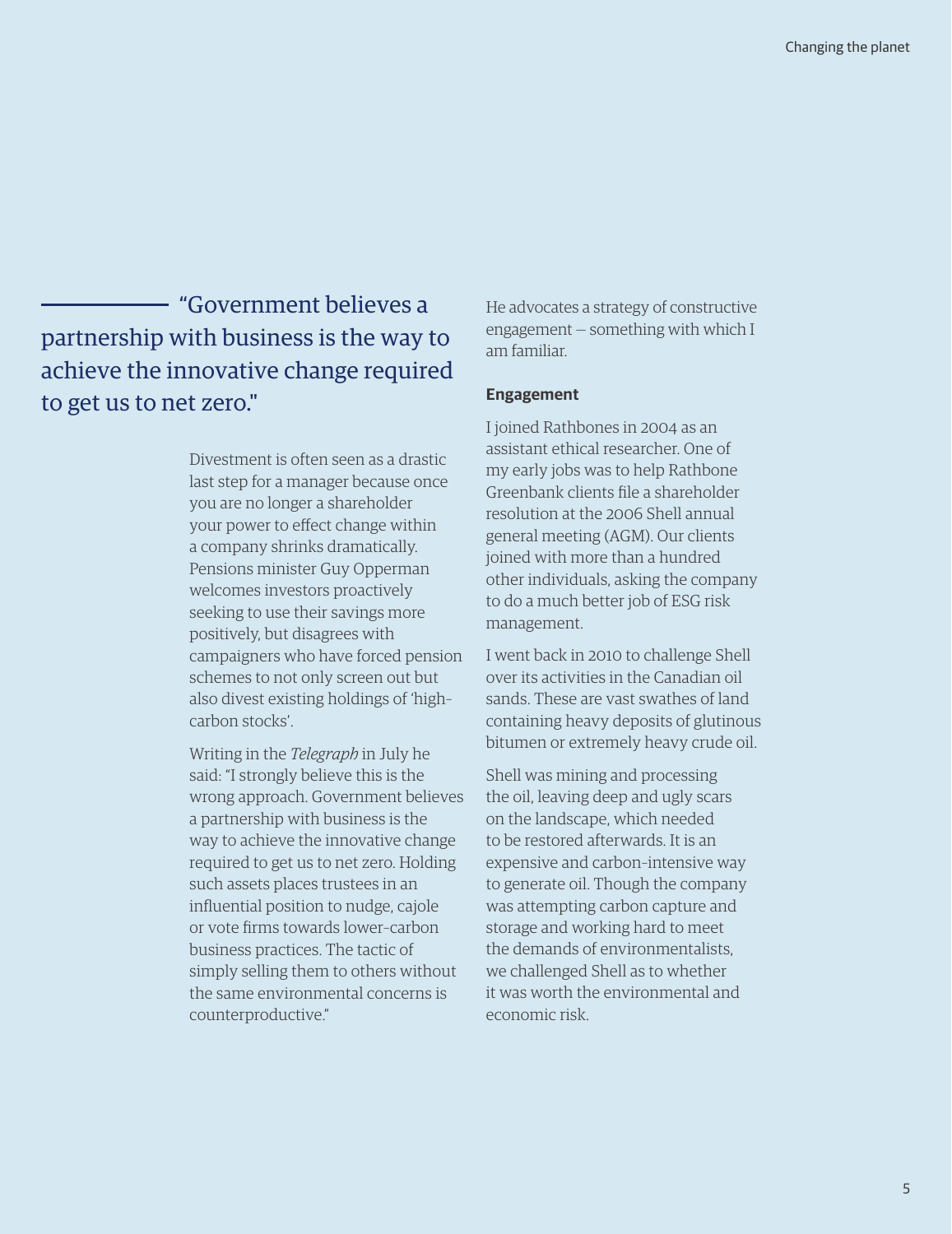"Government believes a partnership with business is the way to achieve the innovative change required to get us to net zero."

> Divestment is often seen as a drastic last step for a manager because once you are no longer a shareholder your power to effect change within a company shrinks dramatically. Pensions minister Guy Opperman welcomes investors proactively seeking to use their savings more positively, but disagrees with campaigners who have forced pension schemes to not only screen out but also divest existing holdings of 'high– carbon stocks'.

> Writing in the *Telegraph* in July he said: "I strongly believe this is the wrong approach. Government believes a partnership with business is the way to achieve the innovative change required to get us to net zero. Holding such assets places trustees in an influential position to nudge, cajole or vote firms towards lower–carbon business practices. The tactic of simply selling them to others without the same environmental concerns is counterproductive."

He advocates a strategy of constructive engagement — something with which I am familiar.

#### **Engagement**

I joined Rathbones in 2004 as an assistant ethical researcher. One of my early jobs was to help Rathbone Greenbank clients file a shareholder resolution at the 2006 Shell annual general meeting (AGM). Our clients joined with more than a hundred other individuals, asking the company to do a much better job of ESG risk management.

I went back in 2010 to challenge Shell over its activities in the Canadian oil sands. These are vast swathes of land containing heavy deposits of glutinous bitumen or extremely heavy crude oil.

Shell was mining and processing the oil, leaving deep and ugly scars on the landscape, which needed to be restored afterwards. It is an expensive and carbon–intensive way to generate oil. Though the company was attempting carbon capture and storage and working hard to meet the demands of environmentalists, we challenged Shell as to whether it was worth the environmental and economic risk.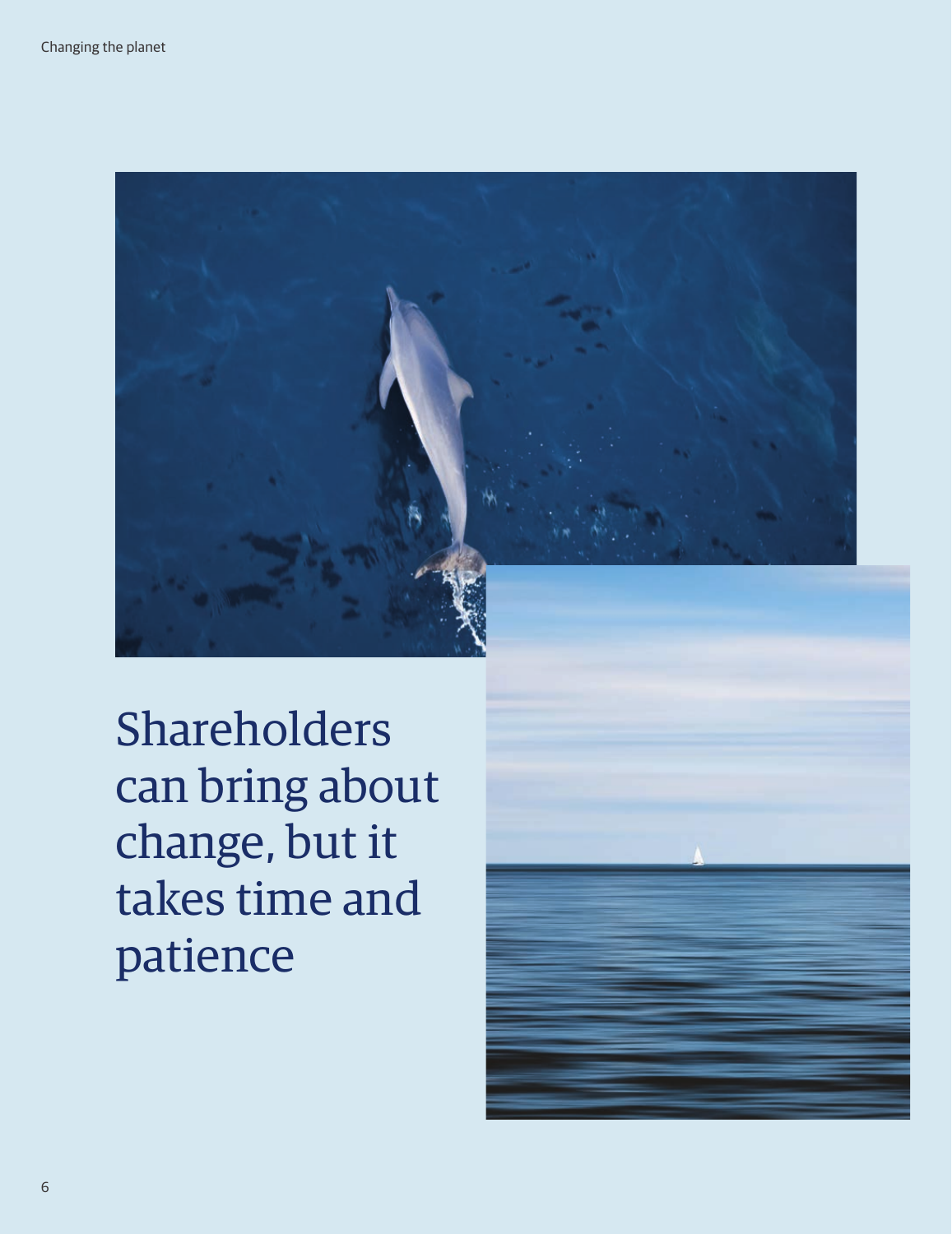

Shareholders can bring about change, but it takes time and patience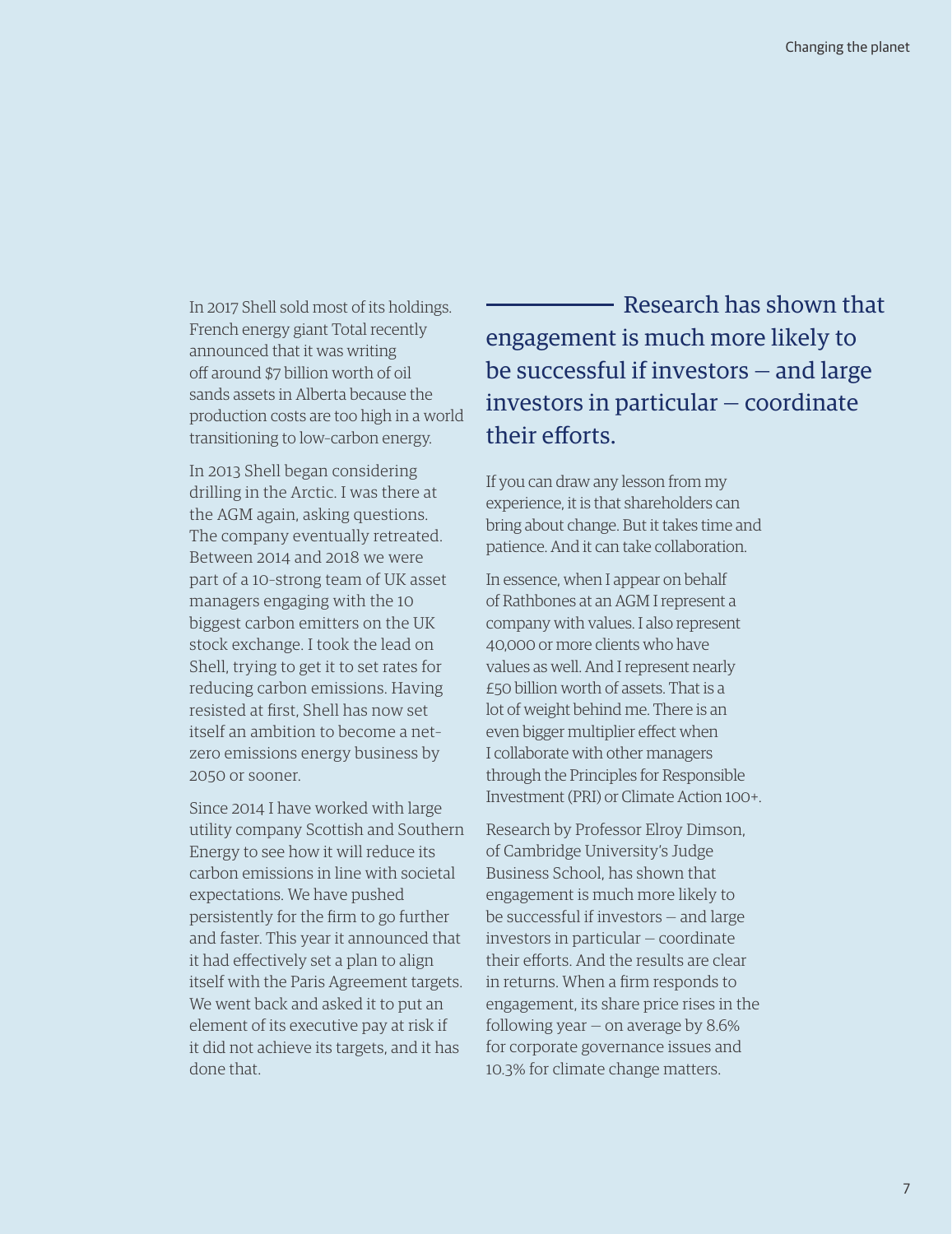In 2017 Shell sold most of its holdings. French energy giant Total recently announced that it was writing off around \$7 billion worth of oil sands assets in Alberta because the production costs are too high in a world transitioning to low–carbon energy.

In 2013 Shell began considering drilling in the Arctic. I was there at the AGM again, asking questions. The company eventually retreated. Between 2014 and 2018 we were part of a 10–strong team of UK asset managers engaging with the 10 biggest carbon emitters on the UK stock exchange. I took the lead on Shell, trying to get it to set rates for reducing carbon emissions. Having resisted at first, Shell has now set itself an ambition to become a net– zero emissions energy business by 2050 or sooner.

Since 2014 I have worked with large utility company Scottish and Southern Energy to see how it will reduce its carbon emissions in line with societal expectations. We have pushed persistently for the firm to go further and faster. This year it announced that it had effectively set a plan to align itself with the Paris Agreement targets. We went back and asked it to put an element of its executive pay at risk if it did not achieve its targets, and it has done that.

 Research has shown that engagement is much more likely to be successful if investors — and large investors in particular — coordinate their efforts.

If you can draw any lesson from my experience, it is that shareholders can bring about change. But it takes time and patience. And it can take collaboration.

In essence, when I appear on behalf of Rathbones at an AGM I represent a company with values. I also represent 40,000 or more clients who have values as well. And I represent nearly £50 billion worth of assets. That is a lot of weight behind me. There is an even bigger multiplier effect when I collaborate with other managers through the Principles for Responsible Investment (PRI) or Climate Action 100+.

Research by Professor Elroy Dimson, of Cambridge University's Judge Business School, has shown that engagement is much more likely to be successful if investors — and large investors in particular — coordinate their efforts. And the results are clear in returns. When a firm responds to engagement, its share price rises in the following year  $-$  on average by 8.6% for corporate governance issues and 10.3% for climate change matters.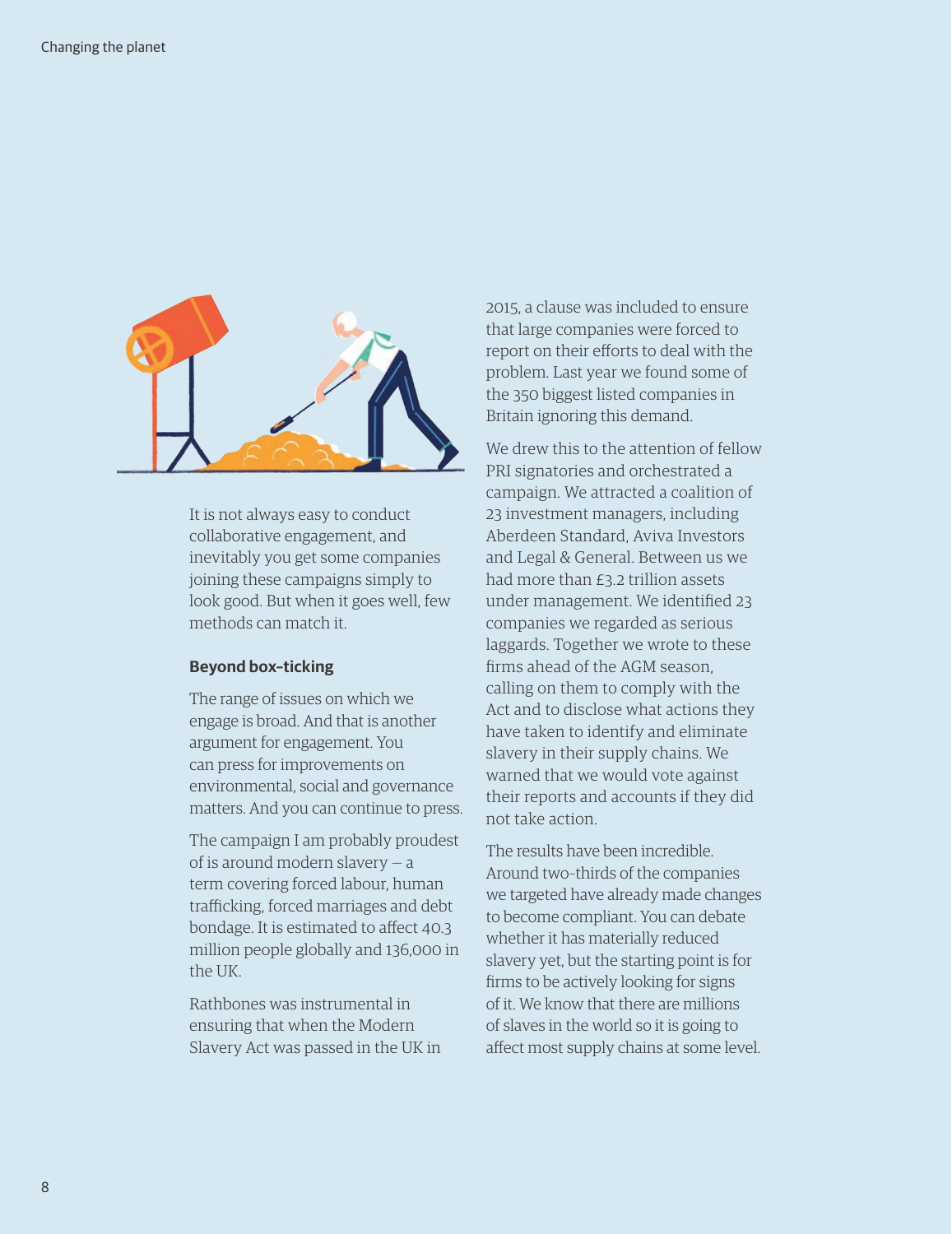

It is not always easy to conduct collaborative engagement, and inevitably you get some companies joining these campaigns simply to look good. But when it goes well, few methods can match it.

#### **Beyond box–ticking**

The range of issues on which we engage is broad. And that is another argument for engagement. You can press for improvements on environmental, social and governance matters. And you can continue to press.

The campaign I am probably proudest of is around modern slavery — a term covering forced labour, human trafficking, forced marriages and debt bondage. It is estimated to affect 40.3 million people globally and 136,000 in the UK.

Rathbones was instrumental in ensuring that when the Modern Slavery Act was passed in the UK in 2015, a clause was included to ensure that large companies were forced to report on their efforts to deal with the problem. Last year we found some of the 350 biggest listed companies in Britain ignoring this demand.

We drew this to the attention of fellow PRI signatories and orchestrated a campaign. We attracted a coalition of 23 investment managers, including Aberdeen Standard, Aviva Investors and Legal & General. Between us we had more than £3.2 trillion assets under management. We identified 23 companies we regarded as serious laggards. Together we wrote to these firms ahead of the AGM season, calling on them to comply with the Act and to disclose what actions they have taken to identify and eliminate slavery in their supply chains. We warned that we would vote against their reports and accounts if they did not take action.

The results have been incredible. Around two–thirds of the companies we targeted have already made changes to become compliant. You can debate whether it has materially reduced slavery yet, but the starting point is for firms to be actively looking for signs of it. We know that there are millions of slaves in the world so it is going to affect most supply chains at some level.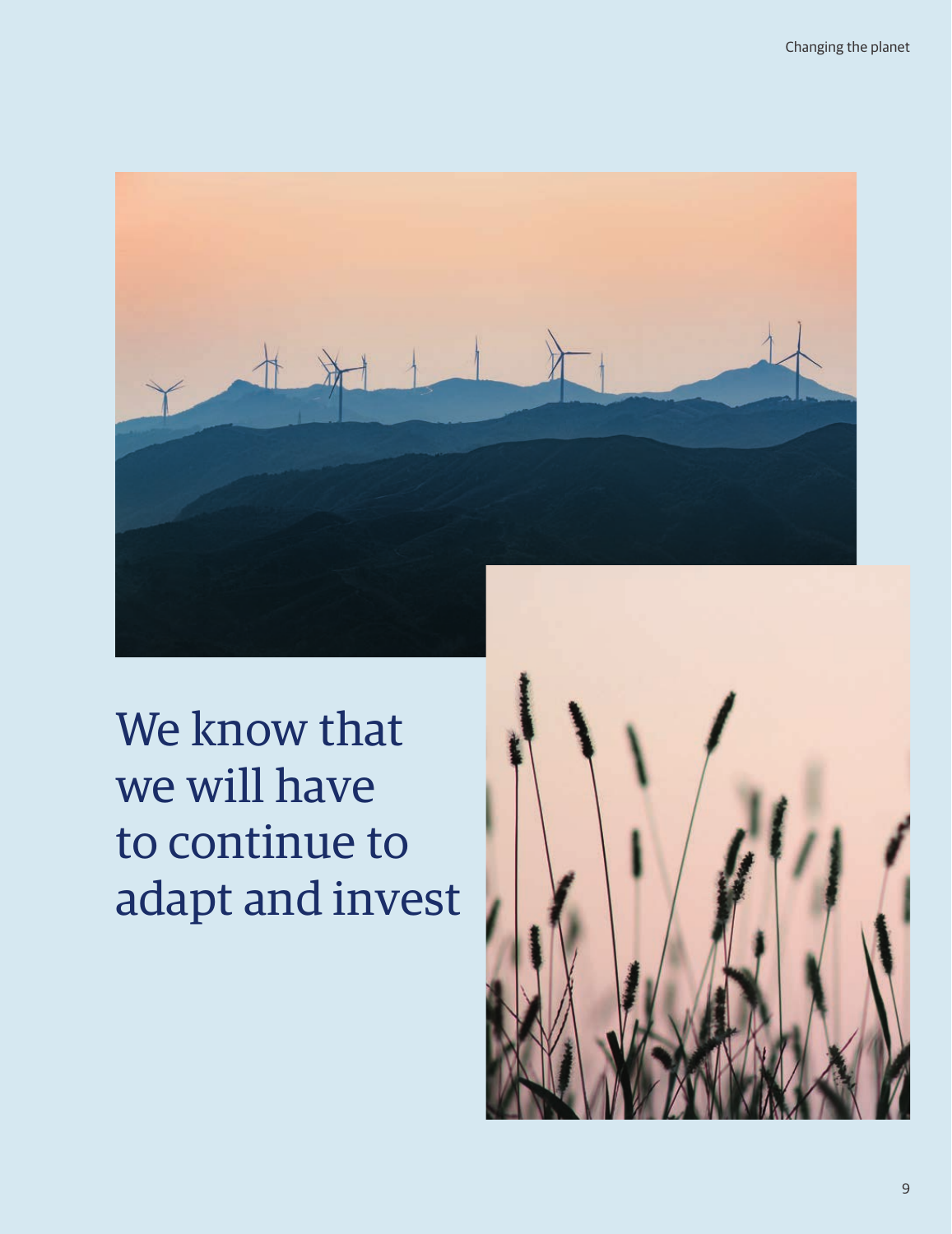

We know that we will have to continue to adapt and invest

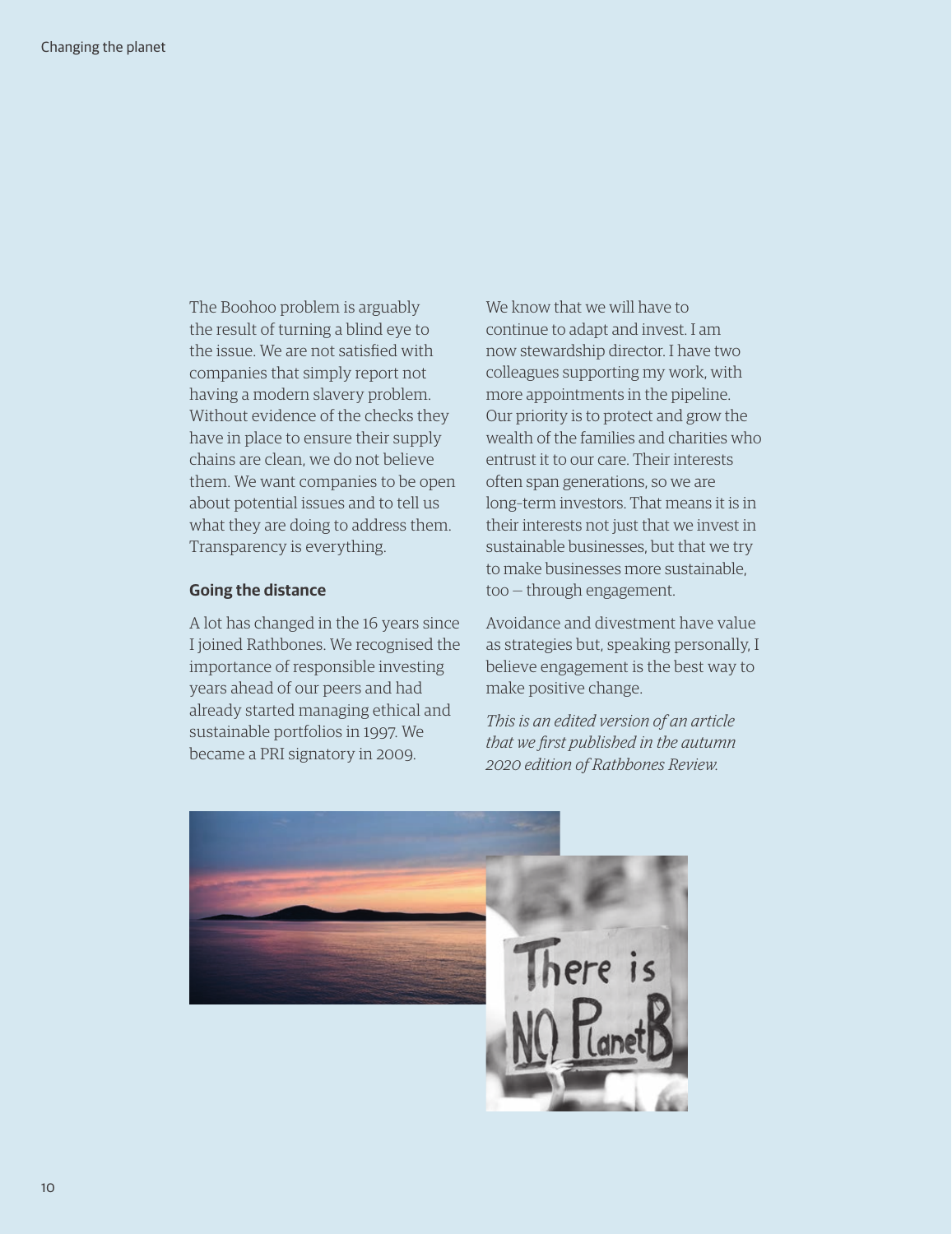The Boohoo problem is arguably the result of turning a blind eye to the issue. We are not satisfied with companies that simply report not having a modern slavery problem. Without evidence of the checks they have in place to ensure their supply chains are clean, we do not believe them. We want companies to be open about potential issues and to tell us what they are doing to address them. Transparency is everything.

#### **Going the distance**

A lot has changed in the 16 years since I joined Rathbones. We recognised the importance of responsible investing years ahead of our peers and had already started managing ethical and sustainable portfolios in 1997. We became a PRI signatory in 2009.

We know that we will have to continue to adapt and invest. I am now stewardship director. I have two colleagues supporting my work, with more appointments in the pipeline. Our priority is to protect and grow the wealth of the families and charities who entrust it to our care. Their interests often span generations, so we are long–term investors. That means it is in their interests not just that we invest in sustainable businesses, but that we try to make businesses more sustainable, too — through engagement.

Avoidance and divestment have value as strategies but, speaking personally, I believe engagement is the best way to make positive change.

*This is an edited version of an article that we first published in the autumn 2020 edition of Rathbones Review.*

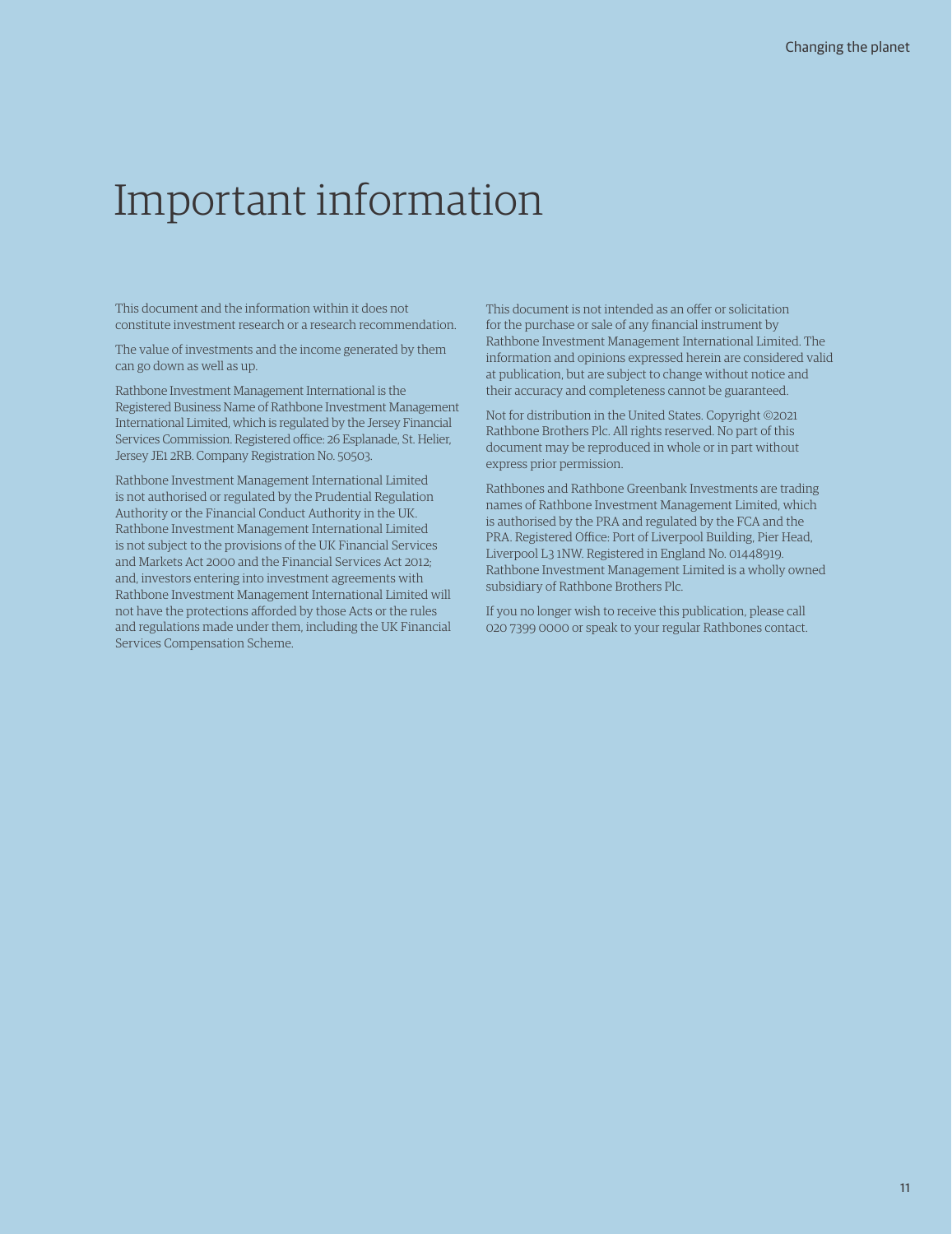## Important information

This document and the information within it does not constitute investment research or a research recommendation.

The value of investments and the income generated by them can go down as well as up.

Rathbone Investment Management International is the Registered Business Name of Rathbone Investment Management International Limited, which is regulated by the Jersey Financial Services Commission. Registered office: 26 Esplanade, St. Helier, Jersey JE1 2RB. Company Registration No. 50503.

Rathbone Investment Management International Limited is not authorised or regulated by the Prudential Regulation Authority or the Financial Conduct Authority in the UK. Rathbone Investment Management International Limited is not subject to the provisions of the UK Financial Services and Markets Act 2000 and the Financial Services Act 2012; and, investors entering into investment agreements with Rathbone Investment Management International Limited will not have the protections afforded by those Acts or the rules and regulations made under them, including the UK Financial Services Compensation Scheme.

This document is not intended as an offer or solicitation for the purchase or sale of any financial instrument by Rathbone Investment Management International Limited. The information and opinions expressed herein are considered valid at publication, but are subject to change without notice and their accuracy and completeness cannot be guaranteed.

Not for distribution in the United States. Copyright ©2021 Rathbone Brothers Plc. All rights reserved. No part of this document may be reproduced in whole or in part without express prior permission.

Rathbones and Rathbone Greenbank Investments are trading names of Rathbone Investment Management Limited, which is authorised by the PRA and regulated by the FCA and the PRA. Registered Office: Port of Liverpool Building, Pier Head, Liverpool L3 1NW. Registered in England No. 01448919. Rathbone Investment Management Limited is a wholly owned subsidiary of Rathbone Brothers Plc.

If you no longer wish to receive this publication, please call 020 7399 0000 or speak to your regular Rathbones contact.